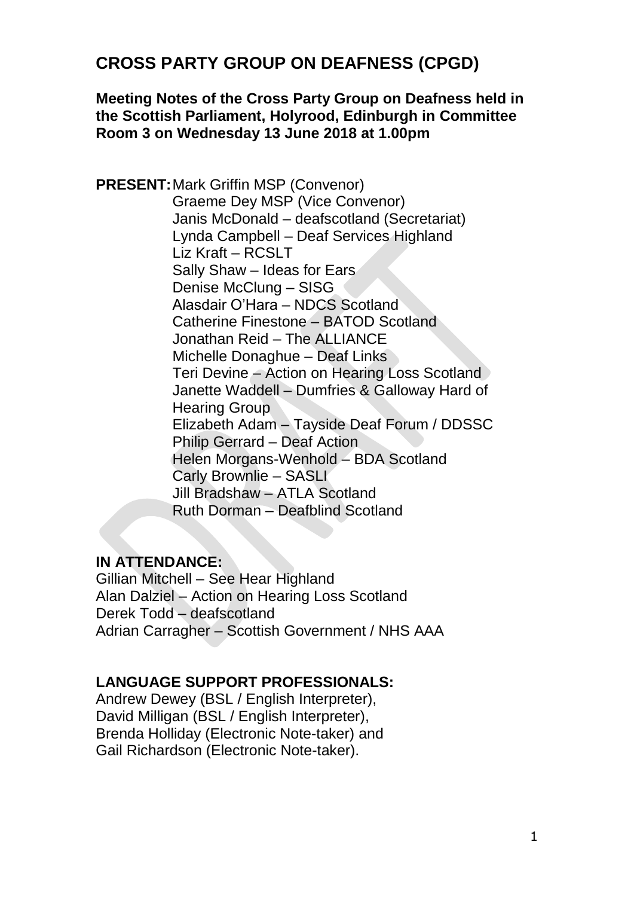# **CROSS PARTY GROUP ON DEAFNESS (CPGD)**

#### **Meeting Notes of the Cross Party Group on Deafness held in the Scottish Parliament, Holyrood, Edinburgh in Committee Room 3 on Wednesday 13 June 2018 at 1.00pm**

**PRESENT:**Mark Griffin MSP (Convenor) Graeme Dey MSP (Vice Convenor) Janis McDonald – deafscotland (Secretariat) Lynda Campbell – Deaf Services Highland Liz Kraft – RCSLT Sally Shaw – Ideas for Ears Denise McClung – SISG Alasdair O'Hara – NDCS Scotland Catherine Finestone – BATOD Scotland Jonathan Reid – The ALLIANCE Michelle Donaghue – Deaf Links Teri Devine – Action on Hearing Loss Scotland Janette Waddell – Dumfries & Galloway Hard of Hearing Group Elizabeth Adam – Tayside Deaf Forum / DDSSC Philip Gerrard – Deaf Action Helen Morgans-Wenhold – BDA Scotland Carly Brownlie – SASLI Jill Bradshaw – ATLA Scotland Ruth Dorman – Deafblind Scotland

#### **IN ATTENDANCE:**

Gillian Mitchell – See Hear Highland Alan Dalziel – Action on Hearing Loss Scotland Derek Todd – deafscotland Adrian Carragher – Scottish Government / NHS AAA

#### **LANGUAGE SUPPORT PROFESSIONALS:**

Andrew Dewey (BSL / English Interpreter), David Milligan (BSL / English Interpreter), Brenda Holliday (Electronic Note-taker) and Gail Richardson (Electronic Note-taker).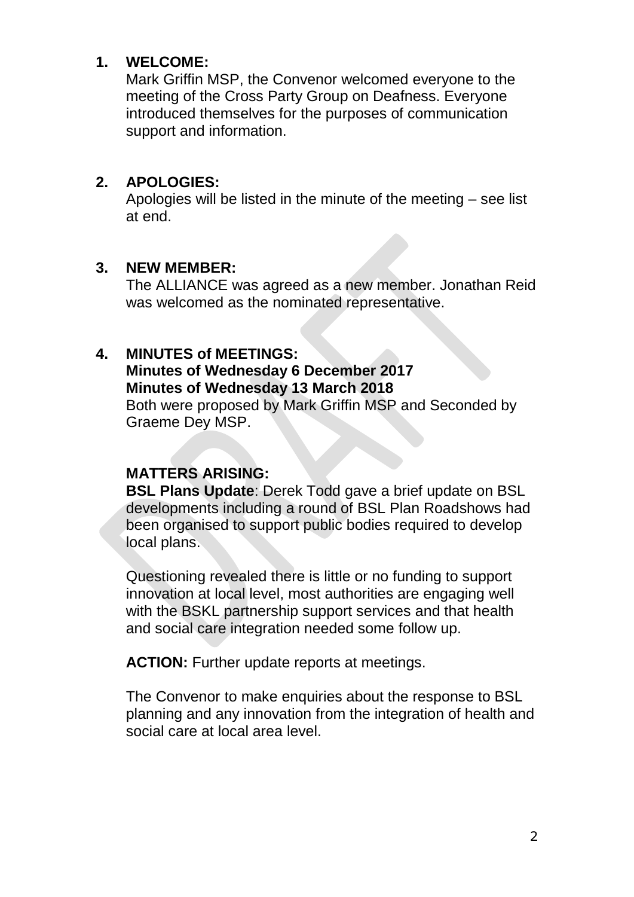### **1. WELCOME:**

Mark Griffin MSP, the Convenor welcomed everyone to the meeting of the Cross Party Group on Deafness. Everyone introduced themselves for the purposes of communication support and information.

### **2. APOLOGIES:**

Apologies will be listed in the minute of the meeting – see list at end.

#### **3. NEW MEMBER:**

The ALLIANCE was agreed as a new member. Jonathan Reid was welcomed as the nominated representative.

#### **4. MINUTES of MEETINGS:**

### **Minutes of Wednesday 6 December 2017 Minutes of Wednesday 13 March 2018**

Both were proposed by Mark Griffin MSP and Seconded by Graeme Dey MSP.

#### **MATTERS ARISING:**

**BSL Plans Update**: Derek Todd gave a brief update on BSL developments including a round of BSL Plan Roadshows had been organised to support public bodies required to develop local plans.

Questioning revealed there is little or no funding to support innovation at local level, most authorities are engaging well with the BSKL partnership support services and that health and social care integration needed some follow up.

**ACTION:** Further update reports at meetings.

The Convenor to make enquiries about the response to BSL planning and any innovation from the integration of health and social care at local area level.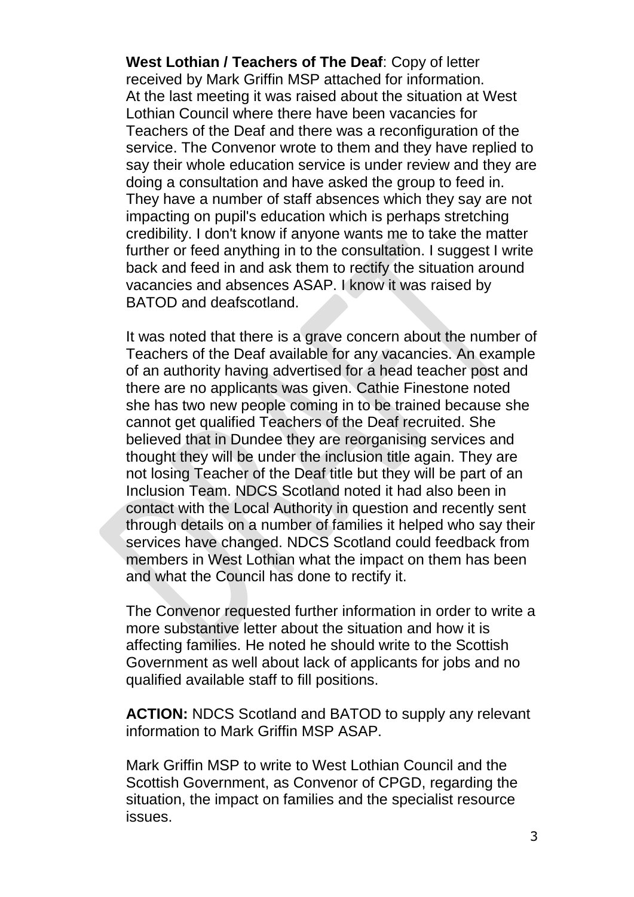**West Lothian / Teachers of The Deaf**: Copy of letter received by Mark Griffin MSP attached for information. At the last meeting it was raised about the situation at West Lothian Council where there have been vacancies for Teachers of the Deaf and there was a reconfiguration of the service. The Convenor wrote to them and they have replied to say their whole education service is under review and they are doing a consultation and have asked the group to feed in. They have a number of staff absences which they say are not impacting on pupil's education which is perhaps stretching credibility. I don't know if anyone wants me to take the matter further or feed anything in to the consultation. I suggest I write back and feed in and ask them to rectify the situation around vacancies and absences ASAP. I know it was raised by BATOD and deafscotland.

It was noted that there is a grave concern about the number of Teachers of the Deaf available for any vacancies. An example of an authority having advertised for a head teacher post and there are no applicants was given. Cathie Finestone noted she has two new people coming in to be trained because she cannot get qualified Teachers of the Deaf recruited. She believed that in Dundee they are reorganising services and thought they will be under the inclusion title again. They are not losing Teacher of the Deaf title but they will be part of an Inclusion Team. NDCS Scotland noted it had also been in contact with the Local Authority in question and recently sent through details on a number of families it helped who say their services have changed. NDCS Scotland could feedback from members in West Lothian what the impact on them has been and what the Council has done to rectify it.

The Convenor requested further information in order to write a more substantive letter about the situation and how it is affecting families. He noted he should write to the Scottish Government as well about lack of applicants for jobs and no qualified available staff to fill positions.

**ACTION:** NDCS Scotland and BATOD to supply any relevant information to Mark Griffin MSP ASAP.

Mark Griffin MSP to write to West Lothian Council and the Scottish Government, as Convenor of CPGD, regarding the situation, the impact on families and the specialist resource issues.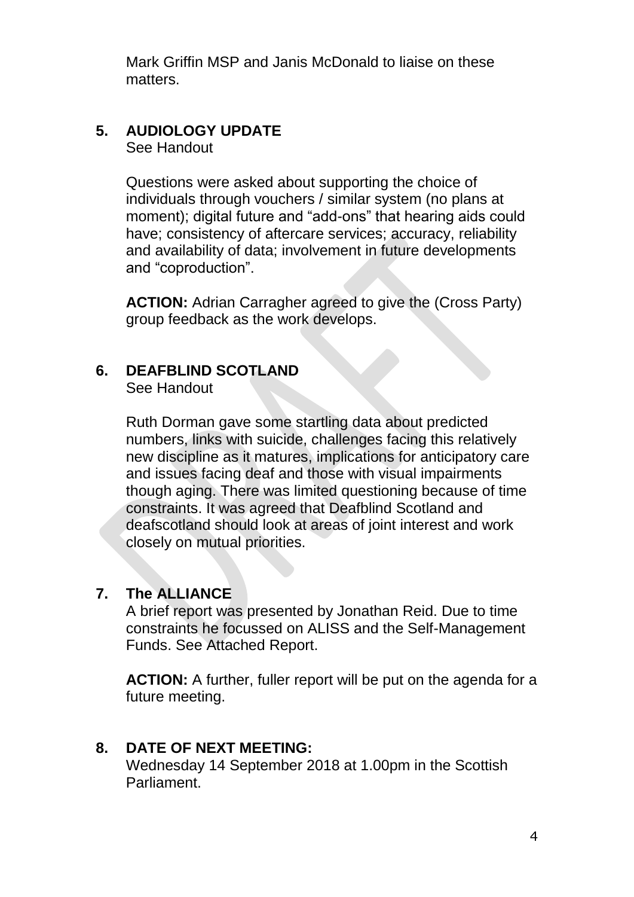Mark Griffin MSP and Janis McDonald to liaise on these matters.

## **5. AUDIOLOGY UPDATE**

See Handout

Questions were asked about supporting the choice of individuals through vouchers / similar system (no plans at moment); digital future and "add-ons" that hearing aids could have; consistency of aftercare services; accuracy, reliability and availability of data; involvement in future developments and "coproduction".

**ACTION:** Adrian Carragher agreed to give the (Cross Party) group feedback as the work develops.

### **6. DEAFBLIND SCOTLAND**

See Handout

Ruth Dorman gave some startling data about predicted numbers, links with suicide, challenges facing this relatively new discipline as it matures, implications for anticipatory care and issues facing deaf and those with visual impairments though aging. There was limited questioning because of time constraints. It was agreed that Deafblind Scotland and deafscotland should look at areas of joint interest and work closely on mutual priorities.

#### **7. The ALLIANCE**

A brief report was presented by Jonathan Reid. Due to time constraints he focussed on ALISS and the Self-Management Funds. See Attached Report.

**ACTION:** A further, fuller report will be put on the agenda for a future meeting.

#### **8. DATE OF NEXT MEETING:**

Wednesday 14 September 2018 at 1.00pm in the Scottish Parliament.